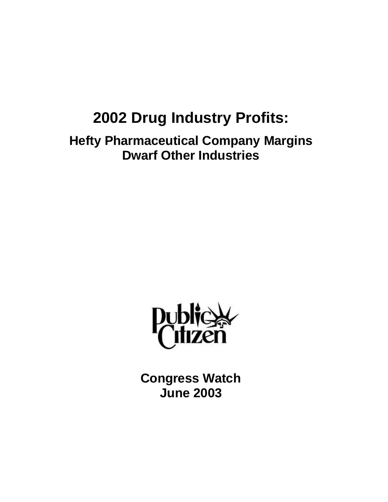# **2002 Drug Industry Profits:**

**Hefty Pharmaceutical Company Margins Dwarf Other Industries**



**Congress Watch June 2003**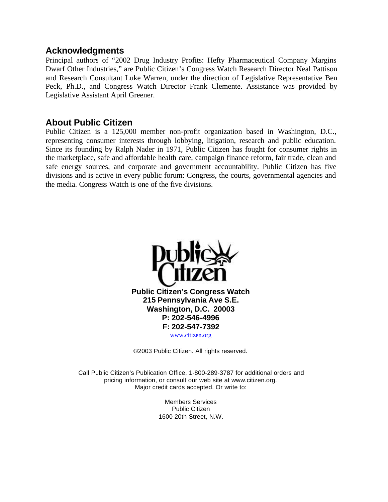#### **Acknowledgments**

Principal authors of "2002 Drug Industry Profits: Hefty Pharmaceutical Company Margins Dwarf Other Industries," are Public Citizen's Congress Watch Research Director Neal Pattison and Research Consultant Luke Warren, under the direction of Legislative Representative Ben Peck, Ph.D., and Congress Watch Director Frank Clemente. Assistance was provided by Legislative Assistant April Greener.

### **About Public Citizen**

Public Citizen is a 125,000 member non-profit organization based in Washington, D.C., representing consumer interests through lobbying, litigation, research and public education. Since its founding by Ralph Nader in 1971, Public Citizen has fought for consumer rights in the marketplace, safe and affordable health care, campaign finance reform, fair trade, clean and safe energy sources, and corporate and government accountability. Public Citizen has five divisions and is active in every public forum: Congress, the courts, governmental agencies and the media. Congress Watch is one of the five divisions.



©2003 Public Citizen. All rights reserved.

Call Public Citizen's Publication Office, 1-800-289-3787 for additional orders and pricing information, or consult our web site at www.citizen.org. Major credit cards accepted. Or write to:

> Members Services Public Citizen 1600 20th Street, N.W.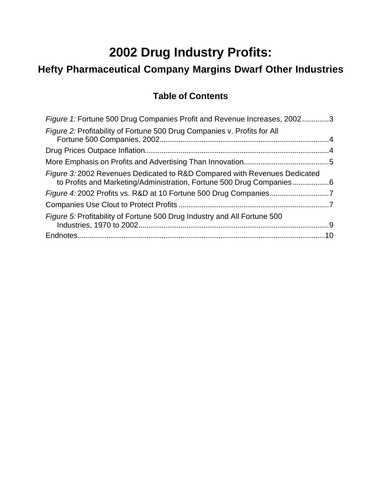## **2002 Drug Industry Profits:**

## **Hefty Pharmaceutical Company Margins Dwarf Other Industries**

## **Table of Contents**

| Figure 1: Fortune 500 Drug Companies Profit and Revenue Increases, 20023                                                                          |  |
|---------------------------------------------------------------------------------------------------------------------------------------------------|--|
| Figure 2: Profitability of Fortune 500 Drug Companies v. Profits for All                                                                          |  |
|                                                                                                                                                   |  |
|                                                                                                                                                   |  |
| Figure 3: 2002 Revenues Dedicated to R&D Compared with Revenues Dedicated<br>to Profits and Marketing/Administration, Fortune 500 Drug Companies6 |  |
|                                                                                                                                                   |  |
|                                                                                                                                                   |  |
| <i>Figure 5:</i> Profitability of Fortune 500 Drug Industry and All Fortune 500                                                                   |  |
|                                                                                                                                                   |  |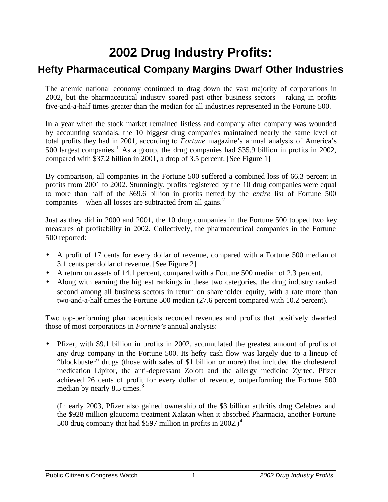## **2002 Drug Industry Profits:**

## **Hefty Pharmaceutical Company Margins Dwarf Other Industries**

The anemic national economy continued to drag down the vast majority of corporations in 2002, but the pharmaceutical industry soared past other business sectors – raking in profits five-and-a-half times greater than the median for all industries represented in the Fortune 500.

In a year when the stock market remained listless and company after company was wounded by accounting scandals, the 10 biggest drug companies maintained nearly the same level of total profits they had in 2001, according to *Fortune* magazine's annual analysis of America's 500 largest companies.<sup>1</sup> As a group, the drug companies had \$35.9 billion in profits in 2002, compared with \$37.2 billion in 2001, a drop of 3.5 percent. [See Figure 1]

By comparison, all companies in the Fortune 500 suffered a combined loss of 66.3 percent in profits from 2001 to 2002. Stunningly, profits registered by the 10 drug companies were equal to more than half of the \$69.6 billion in profits netted by the *entire* list of Fortune 500 companies – when all losses are subtracted from all gains. $<sup>2</sup>$ </sup>

Just as they did in 2000 and 2001, the 10 drug companies in the Fortune 500 topped two key measures of profitability in 2002. Collectively, the pharmaceutical companies in the Fortune 500 reported:

- A profit of 17 cents for every dollar of revenue, compared with a Fortune 500 median of 3.1 cents per dollar of revenue. [See Figure 2]
- A return on assets of 14.1 percent, compared with a Fortune 500 median of 2.3 percent.
- Along with earning the highest rankings in these two categories, the drug industry ranked second among all business sectors in return on shareholder equity, with a rate more than two-and-a-half times the Fortune 500 median (27.6 percent compared with 10.2 percent).

Two top-performing pharmaceuticals recorded revenues and profits that positively dwarfed those of most corporations in *Fortune's* annual analysis:

• Pfizer, with \$9.1 billion in profits in 2002, accumulated the greatest amount of profits of any drug company in the Fortune 500. Its hefty cash flow was largely due to a lineup of "blockbuster" drugs (those with sales of \$1 billion or more) that included the cholesterol medication Lipitor, the anti-depressant Zoloft and the allergy medicine Zyrtec. Pfizer achieved 26 cents of profit for every dollar of revenue, outperforming the Fortune 500 median by nearly 8.5 times. $3$ 

(In early 2003, Pfizer also gained ownership of the \$3 billion arthritis drug Celebrex and the \$928 million glaucoma treatment Xalatan when it absorbed Pharmacia, another Fortune 500 drug company that had \$597 million in profits in 2002.)<sup>4</sup>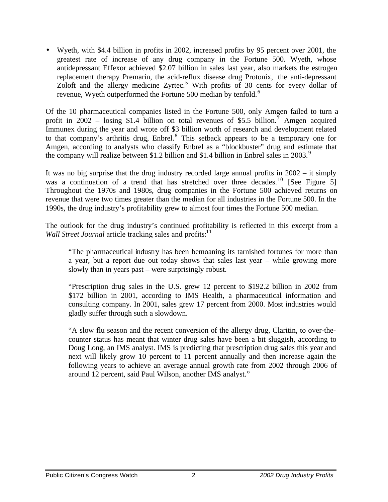• Wyeth, with \$4.4 billion in profits in 2002, increased profits by 95 percent over 2001, the greatest rate of increase of any drug company in the Fortune 500. Wyeth, whose antidepressant Effexor achieved \$2.07 billion in sales last year, also markets the estrogen replacement therapy Premarin, the acid-reflux disease drug Protonix, the anti-depressant Zoloft and the allergy medicine Zyrtec.<sup>5</sup> With profits of 30 cents for every dollar of revenue, Wyeth outperformed the Fortune 500 median by tenfold.<sup>6</sup>

Of the 10 pharmaceutical companies listed in the Fortune 500, only Amgen failed to turn a profit in  $2002$  – losing \$1.4 billion on total revenues of \$5.5 billion.<sup>7</sup> Amgen acquired Immunex during the year and wrote off \$3 billion worth of research and development related to that company's arthritis drug,  $Enbrel<sup>8</sup>$ . This setback appears to be a temporary one for Amgen, according to analysts who classify Enbrel as a "blockbuster" drug and estimate that the company will realize between \$1.2 billion and \$1.4 billion in Enbrel sales in  $2003$ .<sup>9</sup>

It was no big surprise that the drug industry recorded large annual profits in 2002 – it simply was a continuation of a trend that has stretched over three decades.<sup>10</sup> [See Figure 5] Throughout the 1970s and 1980s, drug companies in the Fortune 500 achieved returns on revenue that were two times greater than the median for all industries in the Fortune 500. In the 1990s, the drug industry's profitability grew to almost four times the Fortune 500 median.

The outlook for the drug industry's continued profitability is reflected in this excerpt from a *Wall Street Journal* article tracking sales and profits:<sup>11</sup>

"The pharmaceutical industry has been bemoaning its tarnished fortunes for more than a year, but a report due out today shows that sales last year – while growing more slowly than in years past – were surprisingly robust.

"Prescription drug sales in the U.S. grew 12 percent to \$192.2 billion in 2002 from \$172 billion in 2001, according to IMS Health, a pharmaceutical information and consulting company. In 2001, sales grew 17 percent from 2000. Most industries would gladly suffer through such a slowdown.

"A slow flu season and the recent conversion of the allergy drug, Claritin, to over-thecounter status has meant that winter drug sales have been a bit sluggish, according to Doug Long, an IMS analyst. IMS is predicting that prescription drug sales this year and next will likely grow 10 percent to 11 percent annually and then increase again the following years to achieve an average annual growth rate from 2002 through 2006 of around 12 percent, said Paul Wilson, another IMS analyst."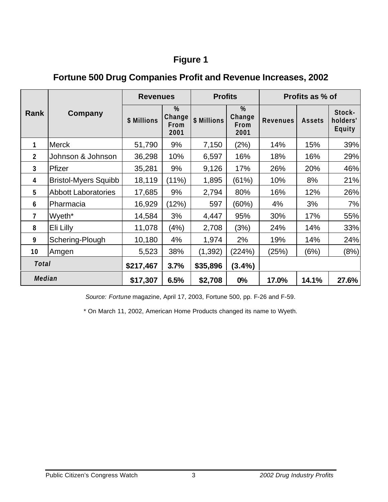## **Figure 1**

|                  | Company                     | <b>Revenues</b>    |                             | <b>Profits</b> |                                | Profits as % of |               |                                     |
|------------------|-----------------------------|--------------------|-----------------------------|----------------|--------------------------------|-----------------|---------------|-------------------------------------|
| Rank             |                             | <b>\$ Millions</b> | %<br>Change<br>From<br>2001 | \$ Millions    | $\%$<br>Change<br>From<br>2001 | <b>Revenues</b> | <b>Assets</b> | Stock-<br>holders'<br><b>Equity</b> |
| 1                | <b>Merck</b>                | 51,790             | 9%                          | 7,150          | (2%)                           | 14%             | 15%           | 39%                                 |
| $\boldsymbol{2}$ | Johnson & Johnson           | 36,298             | 10%                         | 6,597          | 16%                            | 18%             | 16%           | 29%                                 |
| 3                | Pfizer                      | 35,281             | 9%                          | 9,126          | 17%                            | 26%             | 20%           | 46%                                 |
| 4                | <b>Bristol-Myers Squibb</b> | 18,119             | (11%)                       | 1,895          | (61%)                          | 10%             | 8%            | 21%                                 |
| 5                | <b>Abbott Laboratories</b>  | 17,685             | 9%                          | 2,794          | 80%                            | 16%             | 12%           | 26%                                 |
| $6\phantom{1}$   | Pharmacia                   | 16,929             | (12%)                       | 597            | (60%)                          | 4%              | 3%            | 7%                                  |
| $\overline{7}$   | Wyeth <sup>*</sup>          | 14,584             | 3%                          | 4,447          | 95%                            | 30%             | 17%           | 55%                                 |
| 8                | Eli Lilly                   | 11,078             | (4%)                        | 2,708          | (3%)                           | 24%             | 14%           | 33%                                 |
| 9                | Schering-Plough             | 10,180             | 4%                          | 1,974          | 2%                             | 19%             | 14%           | 24%                                 |
| 10               | Amgen                       | 5,523              | 38%                         | (1, 392)       | (224%)                         | (25%)           | (6%)          | (8%)                                |
| <b>Total</b>     |                             | \$217,467          | 3.7%                        | \$35,896       | $(3.4\%)$                      |                 |               |                                     |
| <b>Median</b>    |                             | \$17,307           | 6.5%                        | \$2,708        | 0%                             | 17.0%           | 14.1%         | 27.6%                               |

## **Fortune 500 Drug Companies Profit and Revenue Increases, 2002**

*Source: Fortune* magazine, April 17, 2003, Fortune 500, pp. F-26 and F-59.

\* On March 11, 2002, American Home Products changed its name to Wyeth.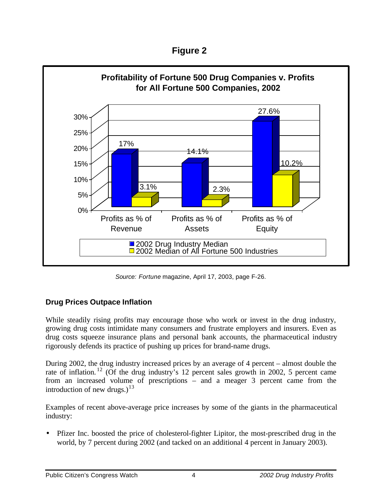**Figure 2**



*Source: Fortune* magazine, April 17, 2003, page F-26.

### **Drug Prices Outpace Inflation**

While steadily rising profits may encourage those who work or invest in the drug industry, growing drug costs intimidate many consumers and frustrate employers and insurers. Even as drug costs squeeze insurance plans and personal bank accounts, the pharmaceutical industry rigorously defends its practice of pushing up prices for brand-name drugs.

During 2002, the drug industry increased prices by an average of 4 percent – almost double the rate of inflation.<sup>12</sup> (Of the drug industry's 12 percent sales growth in 2002, 5 percent came from an increased volume of prescriptions – and a meager 3 percent came from the introduction of new drugs.)<sup>13</sup>

Examples of recent above-average price increases by some of the giants in the pharmaceutical industry:

• Pfizer Inc. boosted the price of cholesterol-fighter Lipitor, the most-prescribed drug in the world, by 7 percent during 2002 (and tacked on an additional 4 percent in January 2003).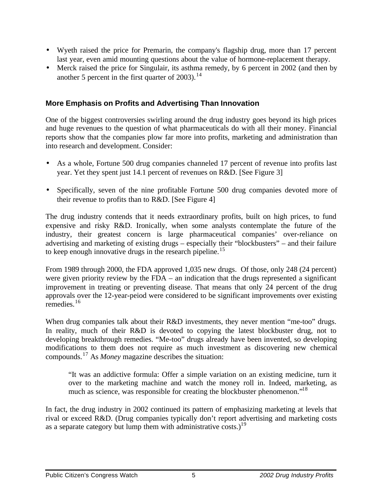- Wyeth raised the price for Premarin, the company's flagship drug, more than 17 percent last year, even amid mounting questions about the value of hormone-replacement therapy.
- Merck raised the price for Singulair, its asthma remedy, by 6 percent in 2002 (and then by another 5 percent in the first quarter of  $2003$ ).<sup>14</sup>

#### **More Emphasis on Profits and Advertising Than Innovation**

One of the biggest controversies swirling around the drug industry goes beyond its high prices and huge revenues to the question of what pharmaceuticals do with all their money. Financial reports show that the companies plow far more into profits, marketing and administration than into research and development. Consider:

- As a whole, Fortune 500 drug companies channeled 17 percent of revenue into profits last year. Yet they spent just 14.1 percent of revenues on R&D. [See Figure 3]
- Specifically, seven of the nine profitable Fortune 500 drug companies devoted more of their revenue to profits than to R&D. [See Figure 4]

The drug industry contends that it needs extraordinary profits, built on high prices, to fund expensive and risky R&D. Ironically, when some analysts contemplate the future of the industry, their greatest concern is large pharmaceutical companies' over-reliance on advertising and marketing of existing drugs – especially their "blockbusters" – and their failure to keep enough innovative drugs in the research pipeline.<sup>15</sup>

From 1989 through 2000, the FDA approved 1,035 new drugs. Of those, only 248 (24 percent) were given priority review by the FDA – an indication that the drugs represented a significant improvement in treating or preventing disease. That means that only 24 percent of the drug approvals over the 12-year-peiod were considered to be significant improvements over existing remedies.<sup>16</sup>

When drug companies talk about their R&D investments, they never mention "me-too" drugs. In reality, much of their R&D is devoted to copying the latest blockbuster drug, not to developing breakthrough remedies. "Me-too" drugs already have been invented, so developing modifications to them does not require as much investment as discovering new chemical compounds.<sup>17</sup> As *Money* magazine describes the situation:

"It was an addictive formula: Offer a simple variation on an existing medicine, turn it over to the marketing machine and watch the money roll in. Indeed, marketing, as much as science, was responsible for creating the blockbuster phenomenon."<sup>18</sup>

In fact, the drug industry in 2002 continued its pattern of emphasizing marketing at levels that rival or exceed R&D. (Drug companies typically don't report advertising and marketing costs as a separate category but lump them with administrative  $costs$ .)<sup>19</sup>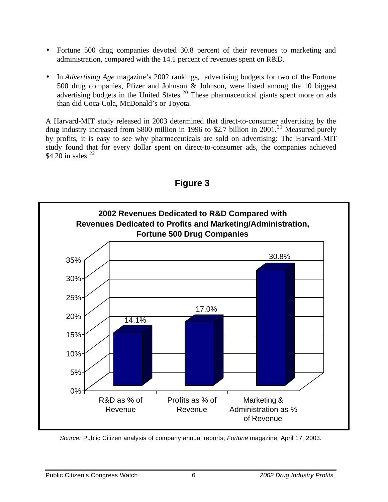- Fortune 500 drug companies devoted 30.8 percent of their revenues to marketing and administration, compared with the 14.1 percent of revenues spent on R&D.
- In *Advertising Age* magazine's 2002 rankings, advertising budgets for two of the Fortune 500 drug companies, Pfizer and Johnson & Johnson, were listed among the 10 biggest advertising budgets in the United States.<sup>20</sup> These pharmaceutical giants spent more on ads than did Coca-Cola, McDonald's or Toyota.

A Harvard-MIT study released in 2003 determined that direct-to-consumer advertising by the drug industry increased from \$800 million in 1996 to \$2.7 billion in 2001.<sup>21</sup> Measured purely by profits, it is easy to see why pharmaceuticals are sold on advertising: The Harvard-MIT study found that for every dollar spent on direct-to-consumer ads, the companies achieved \$4.20 in sales.  $22$ 



### **Figure 3**

*Source:* Public Citizen analysis of company annual reports; *Fortune* magazine, April 17, 2003.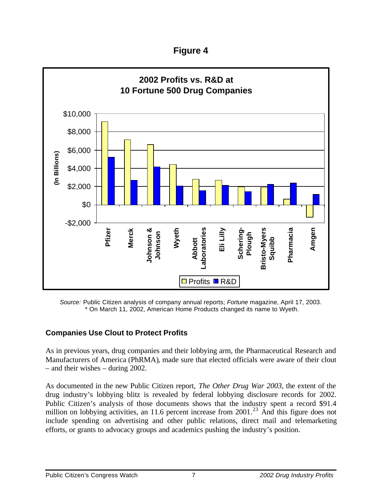**Figure 4**



*Source:* Public Citizen analysis of company annual reports; *Fortune* magazine, April 17, 2003. \* On March 11, 2002, American Home Products changed its name to Wyeth.

### **Companies Use Clout to Protect Profits**

As in previous years, drug companies and their lobbying arm, the Pharmaceutical Research and Manufacturers of America (PhRMA), made sure that elected officials were aware of their clout – and their wishes – during 2002.

As documented in the new Public Citizen report, *The Other Drug War 2003*, the extent of the drug industry's lobbying blitz is revealed by federal lobbying disclosure records for 2002. Public Citizen's analysis of those documents shows that the industry spent a record \$91.4 million on lobbying activities, an 11.6 percent increase from  $2001$ <sup>23</sup>. And this figure does not include spending on advertising and other public relations, direct mail and telemarketing efforts, or grants to advocacy groups and academics pushing the industry's position.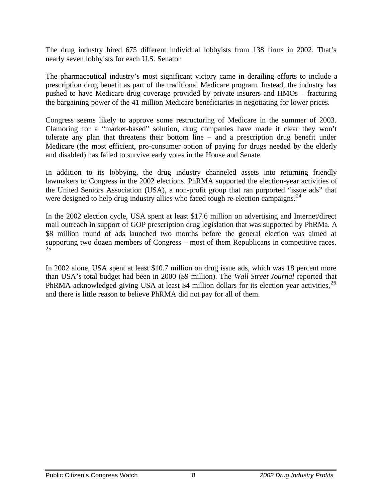The drug industry hired 675 different individual lobbyists from 138 firms in 2002. That's nearly seven lobbyists for each U.S. Senator

The pharmaceutical industry's most significant victory came in derailing efforts to include a prescription drug benefit as part of the traditional Medicare program. Instead, the industry has pushed to have Medicare drug coverage provided by private insurers and HMOs – fracturing the bargaining power of the 41 million Medicare beneficiaries in negotiating for lower prices.

Congress seems likely to approve some restructuring of Medicare in the summer of 2003. Clamoring for a "market-based" solution, drug companies have made it clear they won't tolerate any plan that threatens their bottom line – and a prescription drug benefit under Medicare (the most efficient, pro-consumer option of paying for drugs needed by the elderly and disabled) has failed to survive early votes in the House and Senate.

In addition to its lobbying, the drug industry channeled assets into returning friendly lawmakers to Congress in the 2002 elections. PhRMA supported the election-year activities of the United Seniors Association (USA), a non-profit group that ran purported "issue ads" that were designed to help drug industry allies who faced tough re-election campaigns.<sup>24</sup>

In the 2002 election cycle, USA spent at least \$17.6 million on advertising and Internet/direct mail outreach in support of GOP prescription drug legislation that was supported by PhRMa. A \$8 million round of ads launched two months before the general election was aimed at supporting two dozen members of Congress – most of them Republicans in competitive races.  $25$ 

In 2002 alone, USA spent at least \$10.7 million on drug issue ads, which was 18 percent more than USA's total budget had been in 2000 (\$9 million). The *Wall Street Journal* reported that PhRMA acknowledged giving USA at least \$4 million dollars for its election year activities,  $^{26}$ and there is little reason to believe PhRMA did not pay for all of them.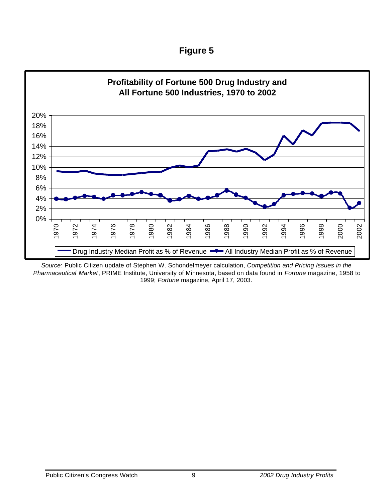| ⊦ıaure |  |
|--------|--|
|--------|--|



*Source:* Public Citizen update of Stephen W. Schondelmeyer calculation, *Competition and Pricing Issues in the Pharmaceutical Market*, PRIME Institute, University of Minnesota, based on data found in *Fortune* magazine, 1958 to 1999; *Fortune* magazine, April 17, 2003.